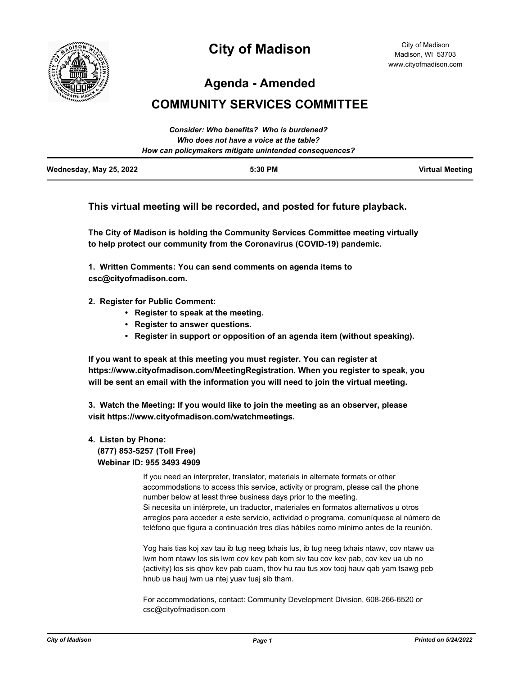

# **City of Madison**

City of Madison Madison, WI 53703 www.cityofmadison.com

**Agenda - Amended**

## **COMMUNITY SERVICES COMMITTEE**

|                                         | Consider: Who benefits? Who is burdened?               |                        |
|-----------------------------------------|--------------------------------------------------------|------------------------|
| Who does not have a voice at the table? |                                                        |                        |
|                                         | How can policymakers mitigate unintended consequences? |                        |
| Wednesday, May 25, 2022                 | $5:30$ PM                                              | <b>Virtual Meeting</b> |

### **This virtual meeting will be recorded, and posted for future playback.**

**The City of Madison is holding the Community Services Committee meeting virtually to help protect our community from the Coronavirus (COVID-19) pandemic.**

**1. Written Comments: You can send comments on agenda items to csc@cityofmadison.com.**

#### **2. Register for Public Comment:**

- **Register to speak at the meeting.**
- **Register to answer questions.**
- **Register in support or opposition of an agenda item (without speaking).**

**If you want to speak at this meeting you must register. You can register at https://www.cityofmadison.com/MeetingRegistration. When you register to speak, you will be sent an email with the information you will need to join the virtual meeting.**

**3. Watch the Meeting: If you would like to join the meeting as an observer, please visit https://www.cityofmadison.com/watchmeetings.**

#### **4. Listen by Phone: (877) 853-5257 (Toll Free) Webinar ID: 955 3493 4909**

If you need an interpreter, translator, materials in alternate formats or other accommodations to access this service, activity or program, please call the phone number below at least three business days prior to the meeting. Si necesita un intérprete, un traductor, materiales en formatos alternativos u otros arreglos para acceder a este servicio, actividad o programa, comuníquese al número de teléfono que figura a continuación tres días hábiles como mínimo antes de la reunión.

Yog hais tias koj xav tau ib tug neeg txhais lus, ib tug neeg txhais ntawv, cov ntawv ua lwm hom ntawv los sis lwm cov kev pab kom siv tau cov kev pab, cov kev ua ub no (activity) los sis qhov kev pab cuam, thov hu rau tus xov tooj hauv qab yam tsawg peb hnub ua hauj lwm ua ntej yuav tuaj sib tham.

For accommodations, contact: Community Development Division, 608-266-6520 or csc@cityofmadison.com